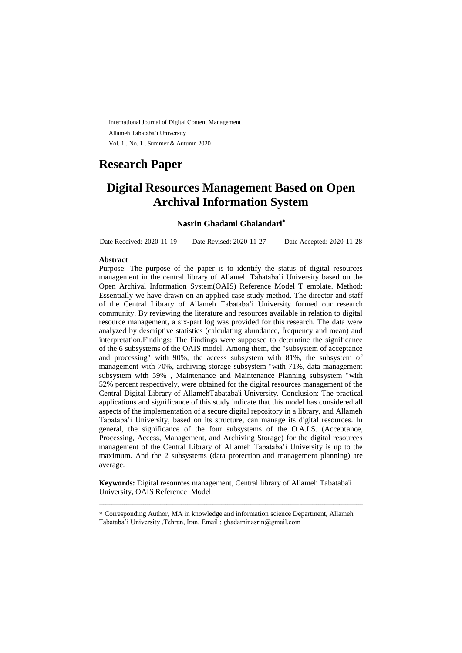International Journal of Digital Content Management Allameh Tabataba'i University Vol. 1 , No. 1 , Summer & Autumn 2020

# **Research Paper**

# **Digital Resources Management Based on Open Archival Information System**

### **Nasrin Ghadami Ghalandari**

Date Received: 2020-11-19 Date Revised: 2020-11-27 Date Accepted: 2020-11-28

### **Abstract**

Purpose: The purpose of the paper is to identify the status of digital resources management in the central library of Allameh Tabataba'i University based on the Open Archival Information System(OAIS) Reference Model T emplate. Method: Essentially we have drawn on an applied case study method. The director and staff of the Central Library of Allameh Tabataba'i University formed our research community. By reviewing the literature and resources available in relation to digital resource management, a six-part log was provided for this research. The data were analyzed by descriptive statistics (calculating abundance, frequency and mean) and interpretation.Findings: The Findings were supposed to determine the significance of the 6 subsystems of the OAIS model. Among them, the "subsystem of acceptance and processing" with 90%, the access subsystem with 81%, the subsystem of management with 70%, archiving storage subsystem "with 71%, data management subsystem with 59% , Maintenance and Maintenance Planning subsystem "with 52% percent respectively, were obtained for the digital resources management of the Central Digital Library of AllamehTabataba'i University. Conclusion: The practical applications and significance of this study indicate that this model has considered all aspects of the implementation of a secure digital repository in a library, and Allameh Tabataba'i University, based on its structure, can manage its digital resources. In general, the significance of the four subsystems of the O.A.I.S. (Acceptance, Processing, Access, Management, and Archiving Storage) for the digital resources management of the Central Library of Allameh Tabataba'i University is up to the maximum. And the 2 subsystems (data protection and management planning) are average.

**Keywords:** Digital resources management, Central library of Allameh Tabataba'i University, OAIS Reference Model.

ـــــــــــــــــــــــــــــــــــــــــــــــــــــــــــــــــــــــــــــــــــــــــــــــــــــــــــــــــــــــــــــ

Corresponding Author, MA in knowledge and information science Department, Allameh Tabataba'i University ,Tehran, Iran, Email : ghadaminasrin@gmail.com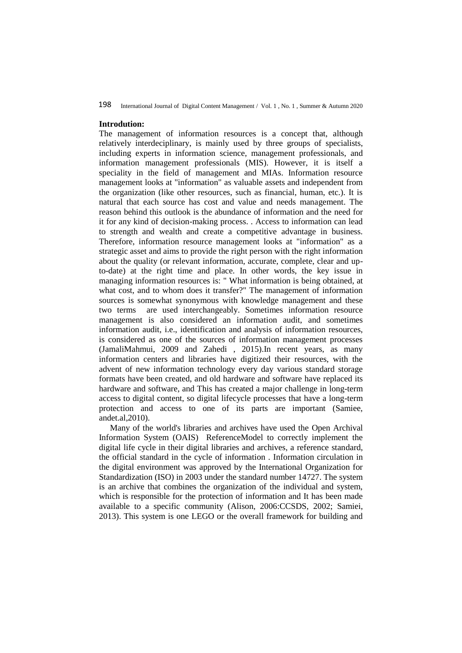#### **Introdution:**

The management of information resources is a concept that, although relatively interdeciplinary, is mainly used by three groups of specialists, including experts in information science, management professionals, and information management professionals (MIS). However, it is itself a speciality in the field of management and MIAs. Information resource management looks at "information" as valuable assets and independent from the organization (like other resources, such as financial, human, etc.). It is natural that each source has cost and value and needs management. The reason behind this outlook is the abundance of information and the need for it for any kind of decision-making process. . Access to information can lead to strength and wealth and create a competitive advantage in business. Therefore, information resource management looks at "information" as a strategic asset and aims to provide the right person with the right information about the quality (or relevant information, accurate, complete, clear and upto-date) at the right time and place. In other words, the key issue in managing information resources is: " What information is being obtained, at what cost, and to whom does it transfer?" The management of information sources is somewhat synonymous with knowledge management and these two terms are used interchangeably. Sometimes information resource management is also considered an information audit, and sometimes information audit, i.e., identification and analysis of information resources, is considered as one of the sources of information management processes (JamaliMahmui, 2009 and Zahedi , 2015).In recent years, as many information centers and libraries have digitized their resources, with the advent of new information technology every day various standard storage formats have been created, and old hardware and software have replaced its hardware and software, and This has created a major challenge in long-term access to digital content, so digital lifecycle processes that have a long-term protection and access to one of its parts are important (Samiee, andet.al,2010).

Many of the world's libraries and archives have used the Open Archival Information System (OAIS) ReferenceModel to correctly implement the digital life cycle in their digital libraries and archives, a reference standard, the official standard in the cycle of information . Information circulation in the digital environment was approved by the International Organization for Standardization (ISO) in 2003 under the standard number 14727. The system is an archive that combines the organization of the individual and system, which is responsible for the protection of information and It has been made available to a specific community (Alison, 2006:CCSDS, 2002; Samiei, 2013). This system is one LEGO or the overall framework for building and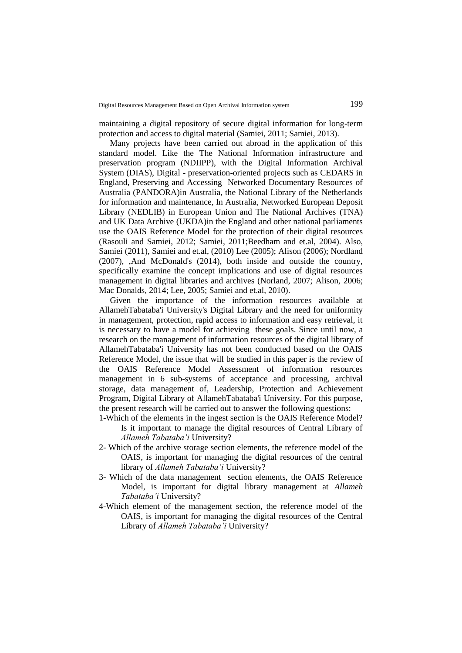maintaining a digital repository of secure digital information for long-term protection and access to digital material (Samiei, 2011; Samiei, 2013).

Many projects have been carried out abroad in the application of this standard model. Like the The National Information infrastructure and preservation program (NDIIPP), with the Digital Information Archival System (DIAS), Digital - preservation-oriented projects such as CEDARS in England, Preserving and Accessing Networked Documentary Resources of Australia (PANDORA)in Australia, the National Library of the Netherlands for information and maintenance, In Australia, Networked European Deposit Library (NEDLIB) in European Union and The National Archives (TNA) and UK Data Archive (UKDA)in the England and other national parliaments use the OAIS Reference Model for the protection of their digital resources (Rasouli and Samiei, 2012; Samiei, 2011;Beedham and et.al, 2004). Also, Samiei (2011), Samiei and et.al, (2010) Lee (2005); Alison (2006); Nordland (2007), ,And McDonald's (2014), both inside and outside the country, specifically examine the concept implications and use of digital resources management in digital libraries and archives (Norland, 2007; Alison, 2006; Mac Donalds, 2014; Lee, 2005; Samiei and et.al, 2010).

Given the importance of the information resources available at AllamehTabataba'i University's Digital Library and the need for uniformity in management, protection, rapid access to information and easy retrieval, it is necessary to have a model for achieving these goals. Since until now, a research on the management of information resources of the digital library of AllamehTabataba'i University has not been conducted based on the OAIS Reference Model, the issue that will be studied in this paper is the review of the OAIS Reference Model Assessment of information resources management in 6 sub-systems of acceptance and processing, archival storage, data management of, Leadership, Protection and Achievement Program, Digital Library of AllamehTabataba'i University. For this purpose, the present research will be carried out to answer the following questions: 1-Which of the elements in the ingest section is the OAIS Reference Model?

Is it important to manage the digital resources of Central Library of *Allameh Tabataba'i* University?

- 2- Which of the archive storage section elements, the reference model of the OAIS, is important for managing the digital resources of the central library of *Allameh Tabataba'i* University?
- 3- Which of the data management section elements, the OAIS Reference Model, is important for digital library management at *Allameh Tabataba'i* University?
- 4-Which element of the management section, the reference model of the OAIS, is important for managing the digital resources of the Central Library of *Allameh Tabataba'i* University?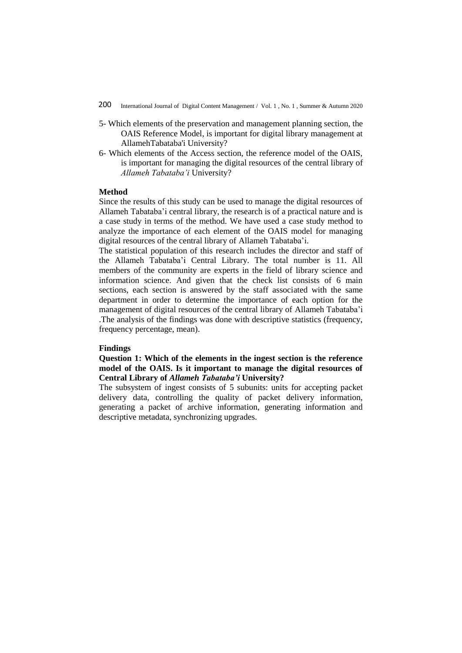- 5- Which elements of the preservation and management planning section, the OAIS Reference Model, is important for digital library management at AllamehTabataba'i University?
- 6- Which elements of the Access section, the reference model of the OAIS, is important for managing the digital resources of the central library of *Allameh Tabataba'i* University?

## **Method**

Since the results of this study can be used to manage the digital resources of Allameh Tabataba'i central library, the research is of a practical nature and is a case study in terms of the method. We have used a case study method to analyze the importance of each element of the OAIS model for managing digital resources of the central library of Allameh Tabataba'i.

The statistical population of this research includes the director and staff of the Allameh Tabataba'i Central Library. The total number is 11. All members of the community are experts in the field of library science and information science. And given that the check list consists of 6 main sections, each section is answered by the staff associated with the same department in order to determine the importance of each option for the management of digital resources of the central library of Allameh Tabataba'i .The analysis of the findings was done with descriptive statistics (frequency, frequency percentage, mean).

### **Findings**

**Question 1: Which of the elements in the ingest section is the reference model of the OAIS. Is it important to manage the digital resources of Central Library of** *Allameh Tabataba'i* **University?**

The subsystem of ingest consists of 5 subunits: units for accepting packet delivery data, controlling the quality of packet delivery information, generating a packet of archive information, generating information and descriptive metadata, synchronizing upgrades.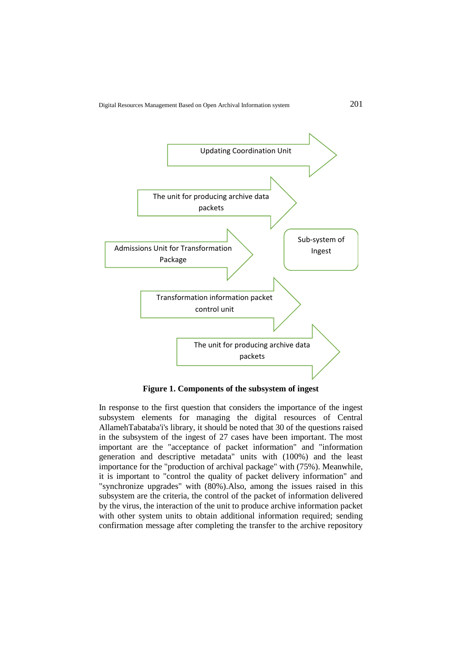

**Figure 1. Components of the subsystem of ingest**

In response to the first question that considers the importance of the ingest subsystem elements for managing the digital resources of Central AllamehTabataba'i's library, it should be noted that 30 of the questions raised in the subsystem of the ingest of 27 cases have been important. The most important are the "acceptance of packet information" and "information generation and descriptive metadata" units with (100%) and the least importance for the "production of archival package" with (75%). Meanwhile, it is important to "control the quality of packet delivery information" and "synchronize upgrades" with (80%).Also, among the issues raised in this subsystem are the criteria, the control of the packet of information delivered by the virus, the interaction of the unit to produce archive information packet with other system units to obtain additional information required; sending confirmation message after completing the transfer to the archive repository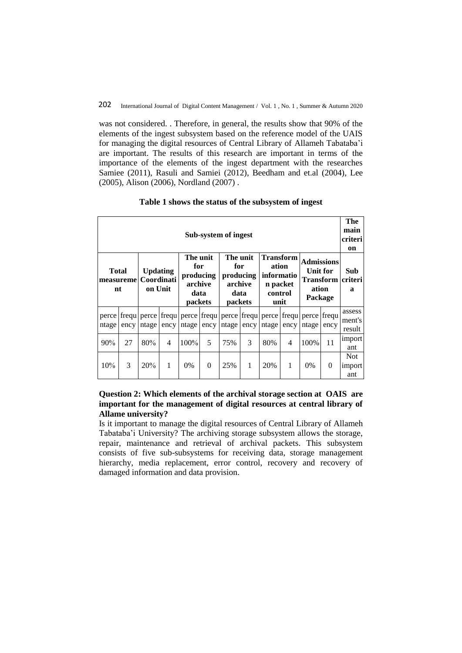was not considered. . Therefore, in general, the results show that 90% of the elements of the ingest subsystem based on the reference model of the UAIS for managing the digital resources of Central Library of Allameh Tabataba'i are important. The results of this research are important in terms of the importance of the elements of the ingest department with the researches Samiee (2011), Rasuli and Samiei (2012), Beedham and et.al (2004), Lee (2005), Alison (2006), Nordland (2007) .

| Sub-system of ingest             |      |                                          |                          |                                                            |          |                                                            |               |                                                                 |      |                                                                               |          |                            |  |
|----------------------------------|------|------------------------------------------|--------------------------|------------------------------------------------------------|----------|------------------------------------------------------------|---------------|-----------------------------------------------------------------|------|-------------------------------------------------------------------------------|----------|----------------------------|--|
| <b>Total</b><br>measuremel<br>nt |      | <b>Updating</b><br>Coordinati<br>on Unit |                          | The unit<br>for<br>producing<br>archive<br>data<br>packets |          | The unit<br>for<br>producing<br>archive<br>data<br>packets |               | Transform<br>ation<br>informatio<br>n packet<br>control<br>unit |      | <b>Admissions</b><br>Unit for<br><b>Transform</b> criteri<br>ation<br>Package |          | Sub<br>a                   |  |
| perce<br>ntage                   | ency | ntage                                    | ency                     | frequ   perce   frequ   perce   frequ  <br>ntage           | ency     | ntage                                                      | ency          | perce frequ perce frequ<br>ntage                                | ency | perce frequ<br>ntage                                                          | ency     | assess<br>ment's<br>result |  |
| 90%                              | 27   | 80%                                      | $\overline{\mathcal{A}}$ | 100%                                                       | 5        | 75%                                                        | $\mathcal{R}$ | 80%                                                             | 4    | 100%                                                                          | 11       | import<br>ant              |  |
| 10%                              | 3    | 20%                                      | 1                        | $0\%$                                                      | $\Omega$ | 25%                                                        | 1             | 20%                                                             | 1    | $0\%$                                                                         | $\theta$ | Not.<br>import<br>ant      |  |

**Table 1 shows the status of the subsystem of ingest**

# **Question 2: Which elements of the archival storage section at OAIS are important for the management of digital resources at central library of Allame university?**

Is it important to manage the digital resources of Central Library of Allameh Tabataba'i University? The archiving storage subsystem allows the storage, repair, maintenance and retrieval of archival packets. This subsystem consists of five sub-subsystems for receiving data, storage management hierarchy, media replacement, error control, recovery and recovery of damaged information and data provision.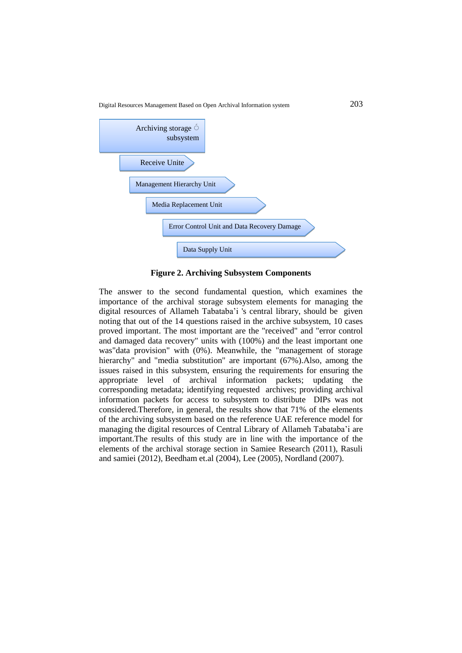Digital Resources Management Based on Open Archival Information system 203



**Figure 2. Archiving Subsystem Components**

The answer to the second fundamental question, which examines the importance of the archival storage subsystem elements for managing the digital resources of Allameh Tabataba'i 's central library, should be given noting that out of the 14 questions raised in the archive subsystem, 10 cases proved important. The most important are the "received" and "error control and damaged data recovery" units with (100%) and the least important one was"data provision" with (0%). Meanwhile, the "management of storage hierarchy" and "media substitution" are important (67%). Also, among the issues raised in this subsystem, ensuring the requirements for ensuring the appropriate level of archival information packets; updating the corresponding metadata; identifying requested archives; providing archival information packets for access to subsystem to distribute DIPs was not considered.Therefore, in general, the results show that 71% of the elements of the archiving subsystem based on the reference UAE reference model for managing the digital resources of Central Library of Allameh Tabataba'i are important.The results of this study are in line with the importance of the elements of the archival storage section in Samiee Research (2011), Rasuli and samiei (2012), Beedham et.al (2004), Lee (2005), Nordland (2007).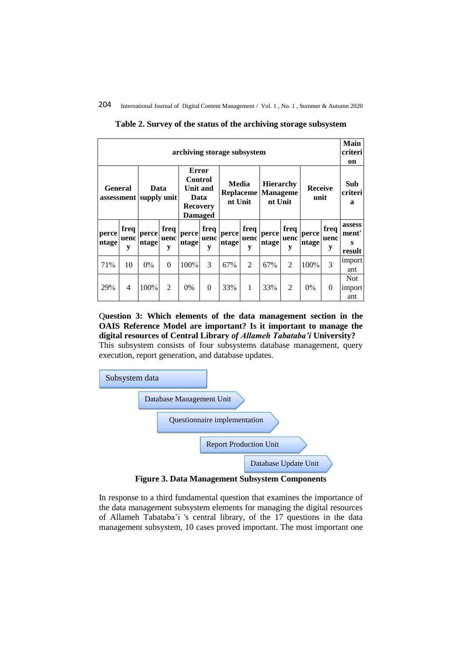| archiving storage subsystem              |                   |                |                   |                                                                                         |                   |                                      |                   |                                                |                   |                        |                   |                                |  |
|------------------------------------------|-------------------|----------------|-------------------|-----------------------------------------------------------------------------------------|-------------------|--------------------------------------|-------------------|------------------------------------------------|-------------------|------------------------|-------------------|--------------------------------|--|
| <b>General</b><br>assessment supply unit |                   | Data           |                   | Error<br><b>Control</b><br><b>Unit and</b><br>Data<br><b>Recovery</b><br><b>Damaged</b> |                   | Media<br><b>Replaceme</b><br>nt Unit |                   | <b>Hierarchy</b><br><b>Manageme</b><br>nt Unit |                   | <b>Receive</b><br>unit |                   | Sub<br>criteri<br>a            |  |
| perce<br>ntage                           | freq<br>uenc<br>y | perce<br>ntage | freq<br>uenc<br>y | perce<br>ntage                                                                          | freq<br>uenc<br>y | perce<br>ntage                       | freq<br>uenc<br>y | perce<br>ntage                                 | freq<br>uenc<br>y | perce<br>ntage         | freq<br>uenc<br>y | assess<br>ment'<br>S<br>result |  |
| 71%                                      | 10                | $0\%$          | $\theta$          | 100%                                                                                    | 3                 | 67%                                  | $\mathfrak{D}$    | 67%                                            | $\mathfrak{D}$    | 100%                   | 3                 | import<br>ant                  |  |
| 29%                                      | 4                 | 100%           | $\overline{2}$    | $0\%$                                                                                   | $\Omega$          | 33%                                  | 1                 | 33%                                            | $\overline{2}$    | $0\%$                  | $\Omega$          | <b>Not</b><br>import<br>ant    |  |

**Table 2. Survey of the status of the archiving storage subsystem**

# Q**uestion 3: Which elements of the data management section in the OAIS Reference Model are important? Is it important to manage the digital resources of Central Library** *of Allameh Tabataba'i* **University?**

This subsystem consists of four subsystems database management, query execution, report generation, and database updates.



**Figure 3. Data Management Subsystem Components**

In response to a third fundamental question that examines the importance of the data management subsystem elements for managing the digital resources of Allameh Tabataba'i 's central library, of the 17 questions in the data management subsystem, 10 cases proved important. The most important one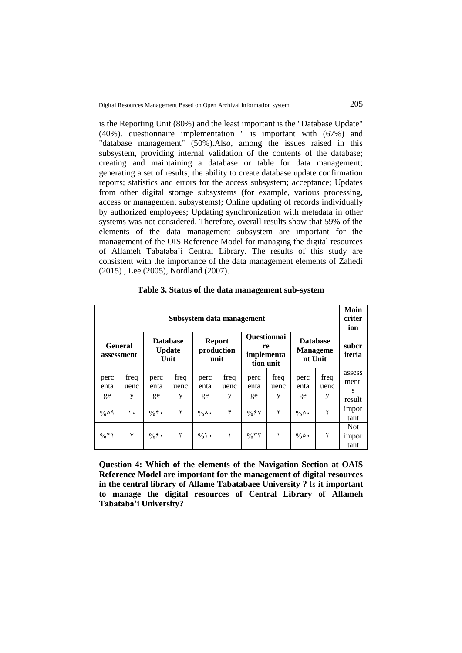is the Reporting Unit (80%) and the least important is the "Database Update" (40%). questionnaire implementation " is important with (67%) and "database management" (50%).Also, among the issues raised in this subsystem, providing internal validation of the contents of the database; creating and maintaining a database or table for data management; generating a set of results; the ability to create database update confirmation reports; statistics and errors for the access subsystem; acceptance; Updates from other digital storage subsystems (for example, various processing, access or management subsystems); Online updating of records individually by authorized employees; Updating synchronization with metadata in other systems was not considered. Therefore, overall results show that 59% of the elements of the data management subsystem are important for the management of the OIS Reference Model for managing the digital resources of Allameh Tabataba'i Central Library. The results of this study are consistent with the importance of the data management elements of Zahedi (2015) , Lee (2005), Nordland (2007).

|                              | Subsystem data management |                                          |                   |                                     |                   |                                        |                   |                                    |                   |                                |  |  |  |  |
|------------------------------|---------------------------|------------------------------------------|-------------------|-------------------------------------|-------------------|----------------------------------------|-------------------|------------------------------------|-------------------|--------------------------------|--|--|--|--|
| <b>General</b><br>assessment |                           | <b>Database</b><br><b>Update</b><br>Unit |                   | <b>Report</b><br>production<br>unit |                   | <b>Questionnai</b><br>re<br>implementa | tion unit         | <b>Database</b><br><b>Manageme</b> | nt Unit           | subcr<br>iteria                |  |  |  |  |
| perc<br>enta<br>ge           | freq<br>uenc<br>у         | perc<br>enta<br>ge                       | freq<br>uenc<br>у | perc<br>enta<br>ge                  | freq<br>uenc<br>у | perc<br>enta<br>ge                     | freq<br>uenc<br>y | perc<br>enta<br>ge                 | freq<br>uenc<br>у | assess<br>ment'<br>s<br>result |  |  |  |  |
| $\%$ ۵۹                      | ١.                        | $\%$ ۴.                                  | ۲                 | $\%$ $\wedge$ $\cdot$               | ۴                 | $\frac{0}{0}$ $\frac{0}{1}$            | ۲                 | $\%$ $\delta$ .                    | ۲                 | impor<br>tant                  |  |  |  |  |
| $\frac{0}{0}$ ۴۱             | ٧                         | $\%$ $\hat{r}$ .                         | ٣                 | $\%$ ٢.                             |                   | $\%$ ٣٣                                |                   | $\%$ $\delta$ .                    | ۲                 | <b>Not</b><br>impor<br>tant    |  |  |  |  |

**Table 3. Status of the data management sub-system**

**Question 4: Which of the elements of the Navigation Section at OAIS Reference Model are important for the management of digital resources in the central library of Allame Tabatabaee University ?** Is **it important to manage the digital resources of Central Library of Allameh Tabataba'i University?**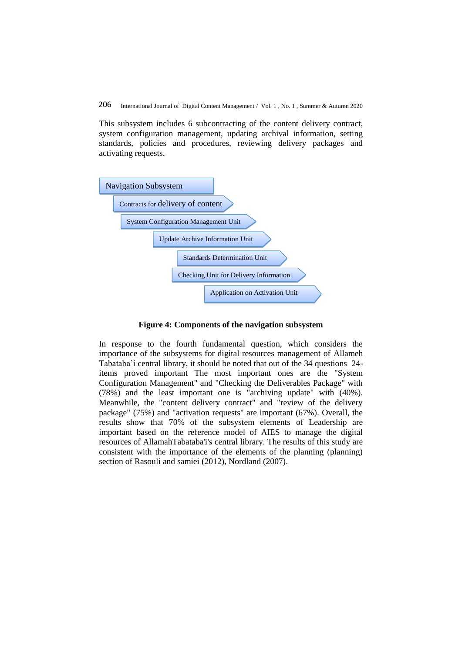This subsystem includes 6 subcontracting of the content delivery contract, system configuration management, updating archival information, setting standards, policies and procedures, reviewing delivery packages and activating requests.



**Figure 4: Components of the navigation subsystem**

In response to the fourth fundamental question, which considers the importance of the subsystems for digital resources management of Allameh Tabataba'i central library, it should be noted that out of the 34 questions 24 items proved important The most important ones are the "System Configuration Management" and "Checking the Deliverables Package" with (78%) and the least important one is "archiving update" with (40%). Meanwhile, the "content delivery contract" and "review of the delivery package" (75%) and "activation requests" are important (67%). Overall, the results show that 70% of the subsystem elements of Leadership are important based on the reference model of AIES to manage the digital resources of AllamahTabataba'i's central library. The results of this study are consistent with the importance of the elements of the planning (planning) section of Rasouli and samiei (2012), Nordland (2007).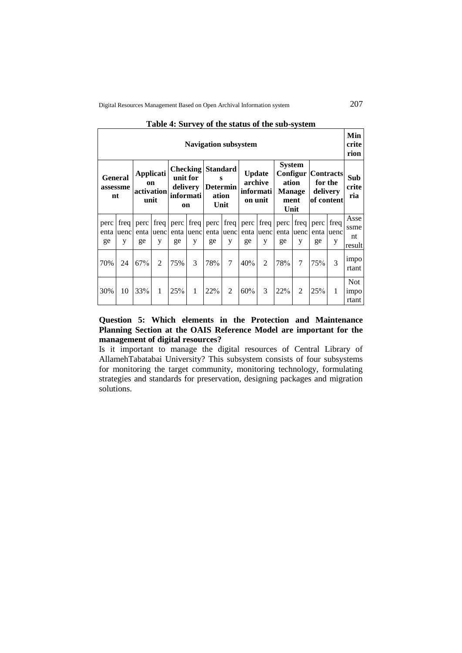|                                  | <b>Navigation subsystem</b> |                                                         |                      |                                         |                           |                                                                   |                |                                                  |           |                                                         |           |                                                                  |                   |                              |  |
|----------------------------------|-----------------------------|---------------------------------------------------------|----------------------|-----------------------------------------|---------------------------|-------------------------------------------------------------------|----------------|--------------------------------------------------|-----------|---------------------------------------------------------|-----------|------------------------------------------------------------------|-------------------|------------------------------|--|
| <b>General</b><br>assessme<br>nt |                             | <b>Applicati</b><br><sub>on</sub><br>activation<br>unit |                      | unit for<br>delivery<br>informati<br>on |                           | <b>Checking Standard</b><br>S<br><b>Determin</b><br>ation<br>Unit |                | <b>Update</b><br>archive<br>informati<br>on unit |           | <b>System</b><br>ation<br><b>Manage</b><br>ment<br>Unit |           | <b>Configur   Contracts</b><br>for the<br>delivery<br>of content |                   | Sub<br>crite<br>ria          |  |
| perc<br>enta<br>ge               | freq  <br>uenc<br>у         | perc<br>enta<br>ge                                      | freq  <br>luenc<br>y | perc<br>enta<br>ge                      | freq $\vert$<br>uenc<br>y | perc<br>enta<br>ge                                                | uenc<br>y      | $freq$   perc<br>enta<br>ge                      | uenc<br>y | freq   perc   freq   perc<br>enta<br>ge                 | uenc<br>y | enta<br>ge                                                       | freq<br>uenc<br>у | Asse<br>ssme<br>nt<br>result |  |
| 70%                              | 24                          | 67%                                                     | $\mathfrak{D}$       | 75%                                     | 3                         | 78%                                                               | 7              | 40%                                              | 2         | 78%                                                     | 7         | 75%                                                              | $\mathcal{R}$     | impo<br>rtant                |  |
| 30%                              | 10                          | 33%                                                     | 1                    | 25%                                     | 1                         | 22%                                                               | $\overline{2}$ | 60%                                              | 3         | 22%                                                     | 2         | 25%                                                              | $\mathbf{1}$      | <b>Not</b><br>impo<br>rtant  |  |

### **Table 4: Survey of the status of the sub-system**

# **Question 5: Which elements in the Protection and Maintenance Planning Section at the OAIS Reference Model are important for the management of digital resources?**

Is it important to manage the digital resources of Central Library of AllamehTabatabai University? This subsystem consists of four subsystems for monitoring the target community, monitoring technology, formulating strategies and standards for preservation, designing packages and migration solutions.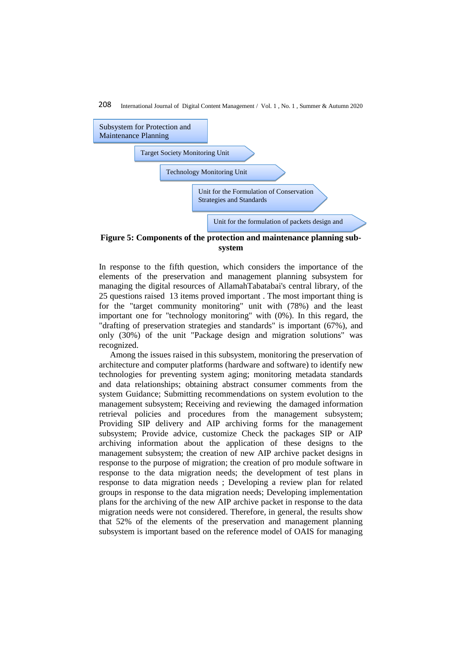

**Figure 5: Components of the protection and maintenance planning subsystem**

In response to the fifth question, which considers the importance of the elements of the preservation and management planning subsystem for managing the digital resources of AllamahTabatabai's central library, of the 25 questions raised 13 items proved important . The most important thing is for the "target community monitoring" unit with (78%) and the least important one for "technology monitoring" with (0%). In this regard, the "drafting of preservation strategies and standards" is important (67%), and only (30%) of the unit "Package design and migration solutions" was recognized.

Among the issues raised in this subsystem, monitoring the preservation of architecture and computer platforms (hardware and software) to identify new technologies for preventing system aging; monitoring metadata standards and data relationships; obtaining abstract consumer comments from the system Guidance; Submitting recommendations on system evolution to the management subsystem; Receiving and reviewing the damaged information retrieval policies and procedures from the management subsystem; Providing SIP delivery and AIP archiving forms for the management subsystem; Provide advice, customize Check the packages SIP or AIP archiving information about the application of these designs to the management subsystem; the creation of new AIP archive packet designs in response to the purpose of migration; the creation of pro module software in response to the data migration needs; the development of test plans in response to data migration needs ; Developing a review plan for related groups in response to the data migration needs; Developing implementation plans for the archiving of the new AIP archive packet in response to the data migration needs were not considered. Therefore, in general, the results show that 52% of the elements of the preservation and management planning subsystem is important based on the reference model of OAIS for managing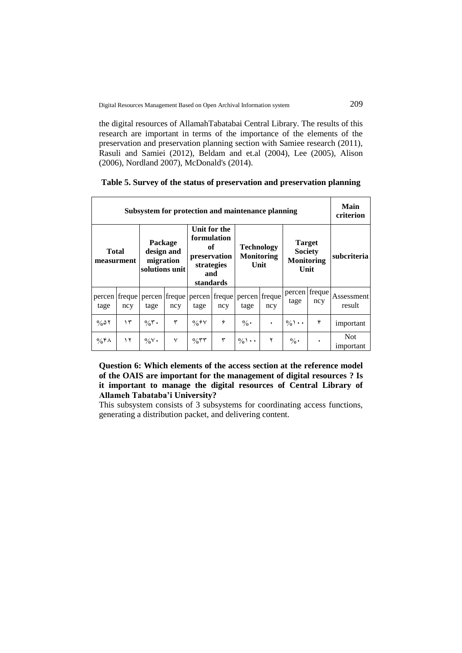the digital resources of AllamahTabatabai Central Library. The results of this research are important in terms of the importance of the elements of the preservation and preservation planning section with Samiee research (2011), Rasuli and Samiei (2012), Beldam and et.al (2004), Lee (2005), Alison (2006), Nordland 2007), McDonald's (2014).

|                            | Subsystem for protection and maintenance planning |                                                      |              |                                                                                     |     |                                                |               |                                                              |                      |                      |  |  |  |  |  |
|----------------------------|---------------------------------------------------|------------------------------------------------------|--------------|-------------------------------------------------------------------------------------|-----|------------------------------------------------|---------------|--------------------------------------------------------------|----------------------|----------------------|--|--|--|--|--|
| <b>Total</b><br>measurment |                                                   | Package<br>design and<br>migration<br>solutions unit |              | Unit for the<br>formulation<br>of<br>preservation<br>strategies<br>and<br>standards |     | <b>Technology</b><br><b>Monitoring</b><br>Unit |               | <b>Target</b><br><b>Society</b><br><b>Monitoring</b><br>Unit |                      | subcriteria          |  |  |  |  |  |
| percen freque<br>tage      | ncy                                               | percen freque<br>tage                                | ncy          | percen freque<br>tage                                                               | ncy | percen<br>tage                                 | freque<br>ncy | tage                                                         | percen freque<br>ncy | Assessment<br>result |  |  |  |  |  |
| $\%$ $\delta$ Y            | ۱۳                                                | $\%$ ٣.                                              | ٣            | $\frac{0}{0}$ $\frac{0}{1}$                                                         | 4   | $\frac{0}{0}$ .                                | ٠             | ۴<br>$\frac{0}{0}$ \                                         |                      | important            |  |  |  |  |  |
| $\%$ ۴۸                    | ۱۲                                                | $\%$ Y $\cdot$                                       | $\checkmark$ | $\%$ ٣٣                                                                             | ٣   | $\frac{0}{0}$                                  | ۲             | $\frac{0}{0}$ .                                              | ٠                    | Not.<br>important    |  |  |  |  |  |

**Question 6: Which elements of the access section at the reference model of the OAIS are important for the management of digital resources ? Is it important to manage the digital resources of Central Library of Allameh Tabataba'i University?**

This subsystem consists of 3 subsystems for coordinating access functions, generating a distribution packet, and delivering content.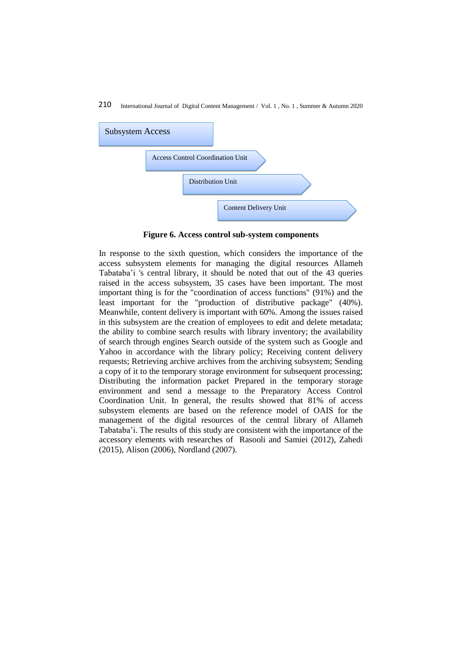

**Figure 6. Access control sub-system components**

In response to the sixth question, which considers the importance of the access subsystem elements for managing the digital resources Allameh Tabataba'i 's central library, it should be noted that out of the 43 queries raised in the access subsystem, 35 cases have been important. The most important thing is for the "coordination of access functions" (91%) and the least important for the "production of distributive package" (40%). Meanwhile, content delivery is important with 60%. Among the issues raised in this subsystem are the creation of employees to edit and delete metadata; the ability to combine search results with library inventory; the availability of search through engines Search outside of the system such as Google and Yahoo in accordance with the library policy; Receiving content delivery requests; Retrieving archive archives from the archiving subsystem; Sending a copy of it to the temporary storage environment for subsequent processing; Distributing the information packet Prepared in the temporary storage environment and send a message to the Preparatory Access Control Coordination Unit. In general, the results showed that 81% of access subsystem elements are based on the reference model of OAIS for the management of the digital resources of the central library of Allameh Tabataba'i. The results of this study are consistent with the importance of the accessory elements with researches of Rasooli and Samiei (2012), Zahedi (2015), Alison (2006), Nordland (2007).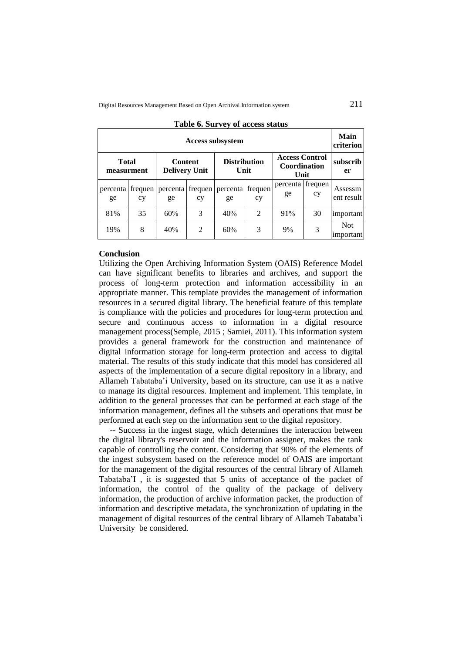|                            | <b>Access subsystem</b> |                                        |               |                             |               |                                               |                 |                         |  |  |  |  |  |  |  |
|----------------------------|-------------------------|----------------------------------------|---------------|-----------------------------|---------------|-----------------------------------------------|-----------------|-------------------------|--|--|--|--|--|--|--|
| <b>Total</b><br>measurment |                         | <b>Content</b><br><b>Delivery Unit</b> |               | <b>Distribution</b><br>Unit |               | <b>Access Control</b><br>Coordination<br>Unit |                 | subscrib<br>er          |  |  |  |  |  |  |  |
| percenta<br>ge             | frequen<br>cy           | percenta<br>ge                         | frequen<br>cy | percenta<br>ge              | frequen<br>cy | percenta<br>ge                                | frequen  <br>cy | Assessm<br>ent result   |  |  |  |  |  |  |  |
| 81%                        | 35                      | 60%                                    | 3             | 40%                         | 2             | 91%                                           | 30              | important               |  |  |  |  |  |  |  |
| 19%                        | 8                       | 40%                                    | 2             | 60%                         | 3             | 9%                                            | 3               | <b>Not</b><br>important |  |  |  |  |  |  |  |

#### **Table 6. Survey of access status**

## **Conclusion**

Utilizing the Open Archiving Information System (OAIS) Reference Model can have significant benefits to libraries and archives, and support the process of long-term protection and information accessibility in an appropriate manner. This template provides the management of information resources in a secured digital library. The beneficial feature of this template is compliance with the policies and procedures for long-term protection and secure and continuous access to information in a digital resource management process(Semple, 2015 ; Samiei, 2011). This information system provides a general framework for the construction and maintenance of digital information storage for long-term protection and access to digital material. The results of this study indicate that this model has considered all aspects of the implementation of a secure digital repository in a library, and Allameh Tabataba'i University, based on its structure, can use it as a native to manage its digital resources. Implement and implement. This template, in addition to the general processes that can be performed at each stage of the information management, defines all the subsets and operations that must be performed at each step on the information sent to the digital repository.

-- Success in the ingest stage, which determines the interaction between the digital library's reservoir and the information assigner, makes the tank capable of controlling the content. Considering that 90% of the elements of the ingest subsystem based on the reference model of OAIS are important for the management of the digital resources of the central library of Allameh Tabataba'I , it is suggested that 5 units of acceptance of the packet of information, the control of the quality of the package of delivery information, the production of archive information packet, the production of information and descriptive metadata, the synchronization of updating in the management of digital resources of the central library of Allameh Tabataba'i University be considered.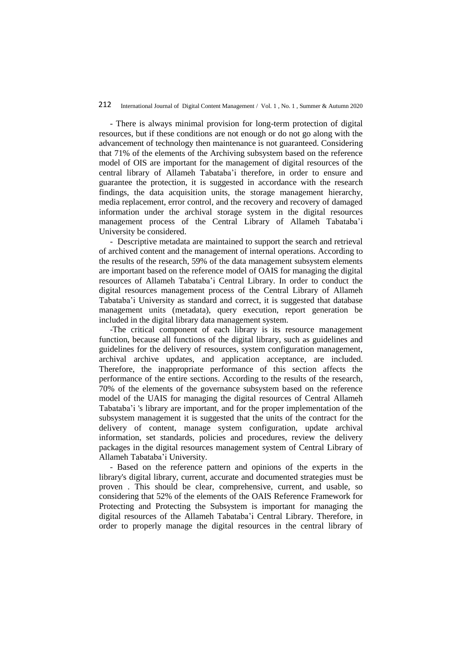- There is always minimal provision for long-term protection of digital resources, but if these conditions are not enough or do not go along with the advancement of technology then maintenance is not guaranteed. Considering that 71% of the elements of the Archiving subsystem based on the reference model of OIS are important for the management of digital resources of the central library of Allameh Tabataba'i therefore, in order to ensure and guarantee the protection, it is suggested in accordance with the research findings, the data acquisition units, the storage management hierarchy, media replacement, error control, and the recovery and recovery of damaged information under the archival storage system in the digital resources management process of the Central Library of Allameh Tabataba'i University be considered.

- Descriptive metadata are maintained to support the search and retrieval of archived content and the management of internal operations. According to the results of the research, 59% of the data management subsystem elements are important based on the reference model of OAIS for managing the digital resources of Allameh Tabataba'i Central Library. In order to conduct the digital resources management process of the Central Library of Allameh Tabataba'i University as standard and correct, it is suggested that database management units (metadata), query execution, report generation be included in the digital library data management system.

-The critical component of each library is its resource management function, because all functions of the digital library, such as guidelines and guidelines for the delivery of resources, system configuration management, archival archive updates, and application acceptance, are included. Therefore, the inappropriate performance of this section affects the performance of the entire sections. According to the results of the research, 70% of the elements of the governance subsystem based on the reference model of the UAIS for managing the digital resources of Central Allameh Tabataba'i 's library are important, and for the proper implementation of the subsystem management it is suggested that the units of the contract for the delivery of content, manage system configuration, update archival information, set standards, policies and procedures, review the delivery packages in the digital resources management system of Central Library of Allameh Tabataba'i University.

- Based on the reference pattern and opinions of the experts in the library's digital library, current, accurate and documented strategies must be proven . This should be clear, comprehensive, current, and usable, so considering that 52% of the elements of the OAIS Reference Framework for Protecting and Protecting the Subsystem is important for managing the digital resources of the Allameh Tabataba'i Central Library. Therefore, in order to properly manage the digital resources in the central library of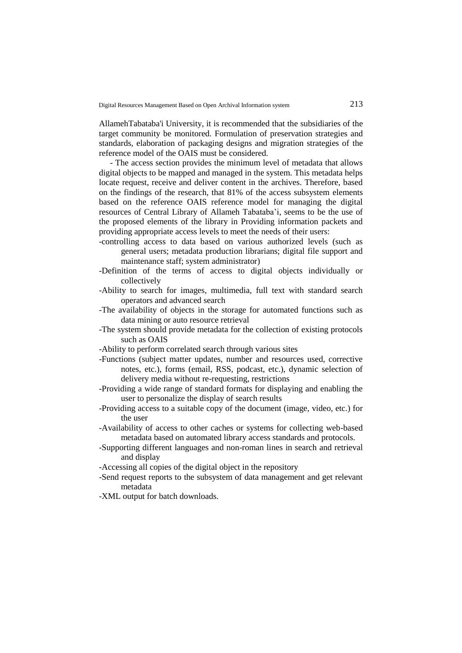AllamehTabataba'i University, it is recommended that the subsidiaries of the target community be monitored. Formulation of preservation strategies and standards, elaboration of packaging designs and migration strategies of the reference model of the OAIS must be considered.

- The access section provides the minimum level of metadata that allows digital objects to be mapped and managed in the system. This metadata helps locate request, receive and deliver content in the archives. Therefore, based on the findings of the research, that 81% of the access subsystem elements based on the reference OAIS reference model for managing the digital resources of Central Library of Allameh Tabataba'i, seems to be the use of the proposed elements of the library in Providing information packets and providing appropriate access levels to meet the needs of their users:

- -controlling access to data based on various authorized levels (such as general users; metadata production librarians; digital file support and maintenance staff; system administrator)
- -Definition of the terms of access to digital objects individually or collectively
- -Ability to search for images, multimedia, full text with standard search operators and advanced search
- -The availability of objects in the storage for automated functions such as data mining or auto resource retrieval
- -The system should provide metadata for the collection of existing protocols such as OAIS
- -Ability to perform correlated search through various sites
- -Functions (subject matter updates, number and resources used, corrective notes, etc.), forms (email, RSS, podcast, etc.), dynamic selection of delivery media without re-requesting, restrictions
- -Providing a wide range of standard formats for displaying and enabling the user to personalize the display of search results
- -Providing access to a suitable copy of the document (image, video, etc.) for the user
- -Availability of access to other caches or systems for collecting web-based metadata based on automated library access standards and protocols.
- -Supporting different languages and non-roman lines in search and retrieval and display
- -Accessing all copies of the digital object in the repository
- -Send request reports to the subsystem of data management and get relevant metadata
- -XML output for batch downloads.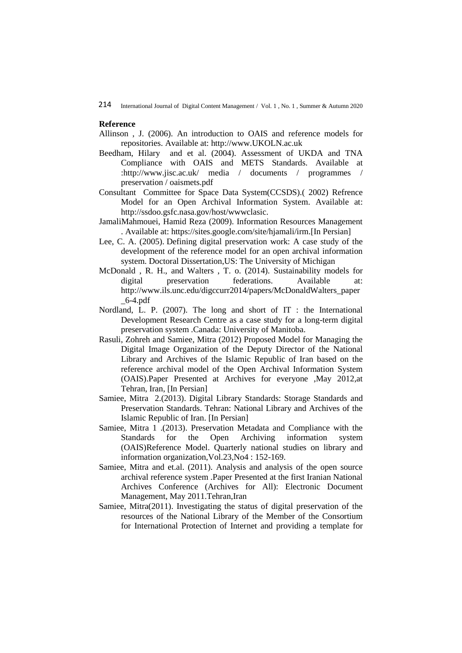### **Reference**

- Allinson , J. (2006). An introduction to OAIS and reference models for repositories. Available at: [http://www.UKOLN.ac.uk](http://www.ukoln.ac.uk/)
- Beedham, Hilary and et al. (2004). Assessment of UKDA and TNA Compliance with OAIS and METS Standards. Available at [:http://www.jisc.ac.uk/ media / documents / programmes /](http://www.jisc.ac.uk/whatwedo/programmes/preservation/)  preservation / oaismets.pdf
- Consultant Committee for Space Data System(CCSDS).( 2002) Refrence Model for an Open Archival Information System. Available at: http://ssdoo.gsfc.nasa.gov/host/wwwclasic.
- JamaliMahmouei, Hamid Reza (2009). Information Resources Management . Available at: [https://sites.google.com/site/hjamali/irm.](https://sites.google.com/site/hjamali/irm)[In Persian]
- Lee, C. A. (2005). Defining digital preservation work: A case study of the development of the reference model for an open archival information system. Doctoral Dissertation,US: The University of Michigan
- McDonald , R. H., and Walters , T. o. (2014). Sustainability models for digital preservation federations. Available at: http://www.ils.unc.edu/digccurr2014/papers/McDonaldWalters\_paper  $-6-4.pdf$
- Nordland, L. P. (2007). The long and short of IT : the International Development Research Centre as a case study for a long-term digital preservation system .Canada: University of Manitoba.
- Rasuli, Zohreh and Samiee, Mitra (2012) Proposed Model for Managing the Digital Image Organization of the Deputy Director of the National Library and Archives of the Islamic Republic of Iran based on the reference archival model of the Open Archival Information System (OAIS).Paper Presented at Archives for everyone ,May 2012,at Tehran, Iran, [In Persian]
- Samiee, Mitra 2.(2013). Digital Library Standards: Storage Standards and Preservation Standards. Tehran: National Library and Archives of the Islamic Republic of Iran. [In Persian]
- Samiee, Mitra 1 .(2013). Preservation Metadata and Compliance with the Standards for the Open Archiving information system (OAIS)Reference Model. Quarterly national studies on library and information organization,Vol.23,No4 : 152-169.
- Samiee, Mitra and et.al. (2011). Analysis and analysis of the open source archival reference system .Paper Presented at the first Iranian National Archives Conference (Archives for All): Electronic Document Management, May 2011.Tehran,Iran
- Samiee, Mitra(2011). Investigating the status of digital preservation of the resources of the National Library of the Member of the Consortium for International Protection of Internet and providing a template for